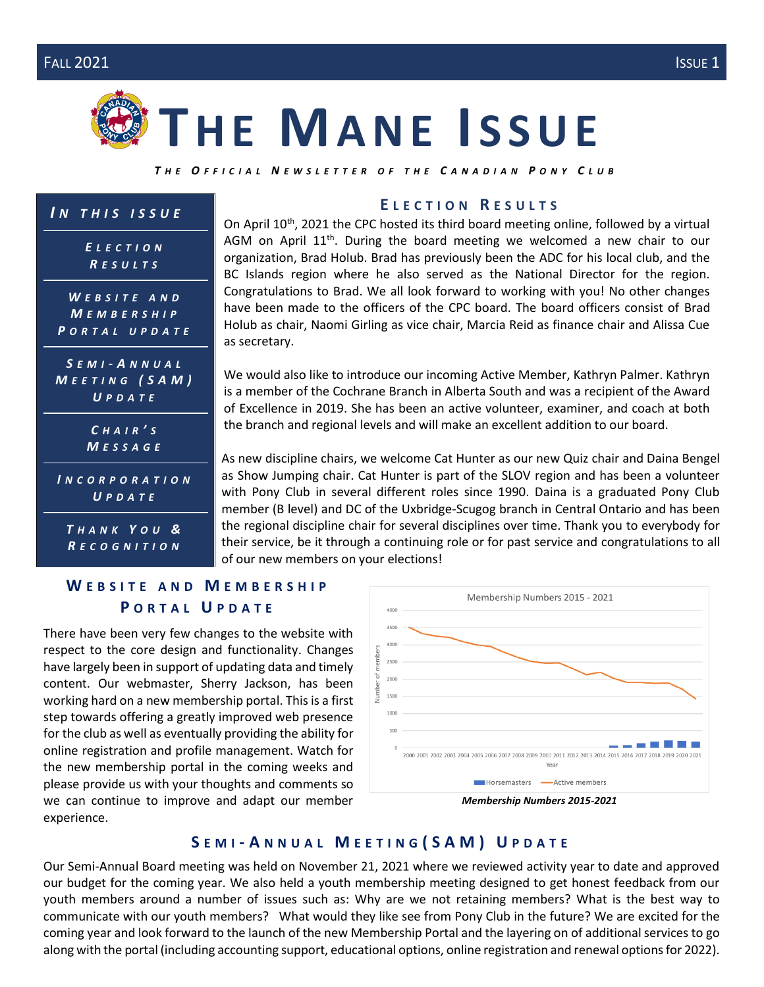# **TH E MA N E I S S U E**

*T H E O F F I C I A L N E W S L E T T E R O F T H E C A N A D I A N P O N Y C L U B*

| $IN$ THIS ISSUE |
|-----------------|
|-----------------|

*E L E C T I O N R E S U L T S*

*W E B S I T E A N D M E M B E R S H I P P O R T A L U P D A T E*

*S EMI - A N N U A L M E E T I N G ( S A M ) U P D A T E*

|               |  |  | CHAIR'S |  |
|---------------|--|--|---------|--|
| M E S S A G E |  |  |         |  |

*I N C O R P O R A T I O N U P D A T E*

*T H A N K Y O U & R E C O G N I T I O N*

### **E L E C T I O N R E S U L T S**

On April 10<sup>th</sup>, 2021 the CPC hosted its third board meeting online, followed by a virtual AGM on April  $11<sup>th</sup>$ . During the board meeting we welcomed a new chair to our organization, Brad Holub. Brad has previously been the ADC for his local club, and the BC Islands region where he also served as the National Director for the region. Congratulations to Brad. We all look forward to working with you! No other changes have been made to the officers of the CPC board. The board officers consist of Brad Holub as chair, Naomi Girling as vice chair, Marcia Reid as finance chair and Alissa Cue as secretary.

We would also like to introduce our incoming Active Member, Kathryn Palmer. Kathryn is a member of the Cochrane Branch in Alberta South and was a recipient of the Award of Excellence in 2019. She has been an active volunteer, examiner, and coach at both the branch and regional levels and will make an excellent addition to our board.

As new discipline chairs, we welcome Cat Hunter as our new Quiz chair and Daina Bengel as Show Jumping chair. Cat Hunter is part of the SLOV region and has been a volunteer with Pony Club in several different roles since 1990. Daina is a graduated Pony Club member (B level) and DC of the Uxbridge-Scugog branch in Central Ontario and has been the regional discipline chair for several disciplines over time. Thank you to everybody for their service, be it through a continuing role or for past service and congratulations to all of our new members on your elections!

#### **W E B S I T E A N D M E M B E R S H I P P O R T A L U P D A T E**

There have been very few changes to the website with respect to the core design and functionality. Changes have largely been in support of updating data and timely content. Our webmaster, Sherry Jackson, has been working hard on a new membership portal. This is a first step towards offering a greatly improved web presence for the club as well as eventually providing the ability for online registration and profile management. Watch for the new membership portal in the coming weeks and please provide us with your thoughts and comments so we can continue to improve and adapt our member experience.





#### **S E M I - A N N U A L M E E T I N G ( S A M ) U P D A T E**

Our Semi-Annual Board meeting was held on November 21, 2021 where we reviewed activity year to date and approved our budget for the coming year. We also held a youth membership meeting designed to get honest feedback from our youth members around a number of issues such as: Why are we not retaining members? What is the best way to communicate with our youth members? What would they like see from Pony Club in the future? We are excited for the coming year and look forward to the launch of the new Membership Portal and the layering on of additional services to go along with the portal (including accounting support, educational options, online registration and renewal options for 2022).